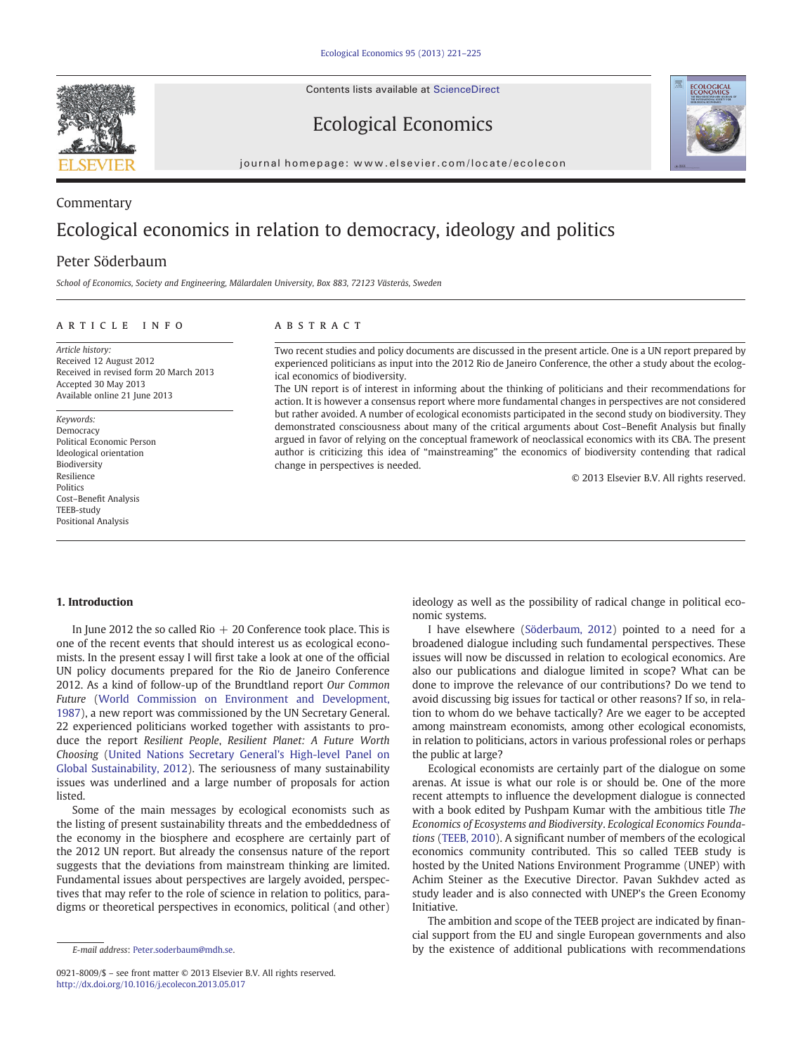Contents lists available at ScienceDirect



Ecological Economics



journal homepage: www.elsevier.com/locate/ecolecon

## Commentary Ecological economics in relation to democracy, ideology and politics

### Peter Söderbaum

School of Economics, Society and Engineering, Mälardalen University, Box 883, 72123 Västerås, Sweden

#### article info abstract

Article history: Received 12 August 2012 Received in revised form 20 March 2013 Accepted 30 May 2013 Available online 21 June 2013

Keywords: Democracy Political Economic Person Ideological orientation Biodiversity Resilience Politics Cost–Benefit Analysis TEEB-study Positional Analysis

Two recent studies and policy documents are discussed in the present article. One is a UN report prepared by experienced politicians as input into the 2012 Rio de Janeiro Conference, the other a study about the ecological economics of biodiversity.

The UN report is of interest in informing about the thinking of politicians and their recommendations for action. It is however a consensus report where more fundamental changes in perspectives are not considered but rather avoided. A number of ecological economists participated in the second study on biodiversity. They demonstrated consciousness about many of the critical arguments about Cost–Benefit Analysis but finally argued in favor of relying on the conceptual framework of neoclassical economics with its CBA. The present author is criticizing this idea of "mainstreaming" the economics of biodiversity contending that radical change in perspectives is needed.

© 2013 Elsevier B.V. All rights reserved.

#### 1. Introduction

In June 2012 the so called Rio  $+20$  Conference took place. This is one of the recent events that should interest us as ecological economists. In the present essay I will first take a look at one of the official UN policy documents prepared for the Rio de Janeiro Conference 2012. As a kind of follow-up of the Brundtland report Our Common Future [\(World Commission on Environment and Development,](#page--1-0) [1987\)](#page--1-0), a new report was commissioned by the UN Secretary General. 22 experienced politicians worked together with assistants to produce the report Resilient People, Resilient Planet: A Future Worth Choosing ([United Nations Secretary General's High-level Panel on](#page--1-0) [Global Sustainability, 2012](#page--1-0)). The seriousness of many sustainability issues was underlined and a large number of proposals for action listed.

Some of the main messages by ecological economists such as the listing of present sustainability threats and the embeddedness of the economy in the biosphere and ecosphere are certainly part of the 2012 UN report. But already the consensus nature of the report suggests that the deviations from mainstream thinking are limited. Fundamental issues about perspectives are largely avoided, perspectives that may refer to the role of science in relation to politics, paradigms or theoretical perspectives in economics, political (and other)

ideology as well as the possibility of radical change in political economic systems.

I have elsewhere ([Söderbaum, 2012](#page--1-0)) pointed to a need for a broadened dialogue including such fundamental perspectives. These issues will now be discussed in relation to ecological economics. Are also our publications and dialogue limited in scope? What can be done to improve the relevance of our contributions? Do we tend to avoid discussing big issues for tactical or other reasons? If so, in relation to whom do we behave tactically? Are we eager to be accepted among mainstream economists, among other ecological economists, in relation to politicians, actors in various professional roles or perhaps the public at large?

Ecological economists are certainly part of the dialogue on some arenas. At issue is what our role is or should be. One of the more recent attempts to influence the development dialogue is connected with a book edited by Pushpam Kumar with the ambitious title The Economics of Ecosystems and Biodiversity. Ecological Economics Foundations [\(TEEB, 2010](#page--1-0)). A significant number of members of the ecological economics community contributed. This so called TEEB study is hosted by the United Nations Environment Programme (UNEP) with Achim Steiner as the Executive Director. Pavan Sukhdev acted as study leader and is also connected with UNEP's the Green Economy Initiative.

The ambition and scope of the TEEB project are indicated by financial support from the EU and single European governments and also by the existence of additional publications with recommendations

E-mail address: [Peter.soderbaum@mdh.se.](mailto:Peter.soderbaum@mdh.se)

<sup>0921-8009/\$</sup> – see front matter © 2013 Elsevier B.V. All rights reserved. <http://dx.doi.org/10.1016/j.ecolecon.2013.05.017>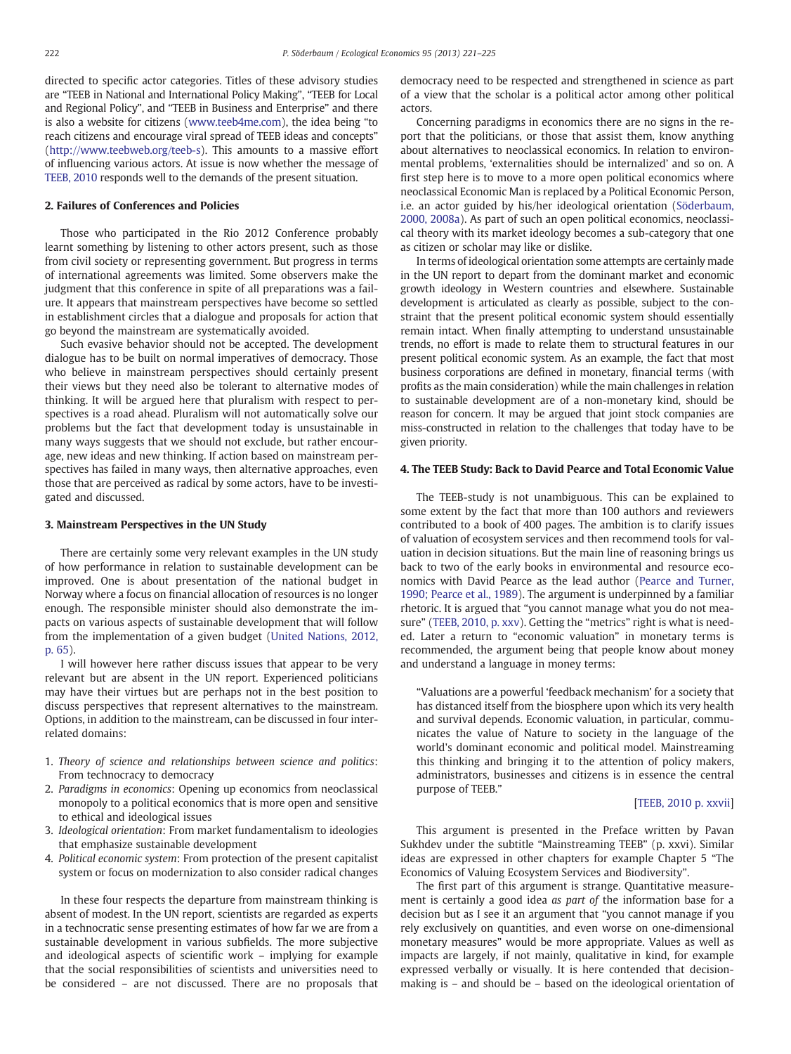directed to specific actor categories. Titles of these advisory studies are "TEEB in National and International Policy Making", "TEEB for Local and Regional Policy", and "TEEB in Business and Enterprise" and there is also a website for citizens [\(www.teeb4me.com\)](http://www.teeb4me.com), the idea being "to reach citizens and encourage viral spread of TEEB ideas and concepts" [\(http://www.teebweb.org/teeb-s\)](http://www.teebweb.org/teeb-s). This amounts to a massive effort of influencing various actors. At issue is now whether the message of [TEEB, 2010](#page--1-0) responds well to the demands of the present situation.

#### 2. Failures of Conferences and Policies

Those who participated in the Rio 2012 Conference probably learnt something by listening to other actors present, such as those from civil society or representing government. But progress in terms of international agreements was limited. Some observers make the judgment that this conference in spite of all preparations was a failure. It appears that mainstream perspectives have become so settled in establishment circles that a dialogue and proposals for action that go beyond the mainstream are systematically avoided.

Such evasive behavior should not be accepted. The development dialogue has to be built on normal imperatives of democracy. Those who believe in mainstream perspectives should certainly present their views but they need also be tolerant to alternative modes of thinking. It will be argued here that pluralism with respect to perspectives is a road ahead. Pluralism will not automatically solve our problems but the fact that development today is unsustainable in many ways suggests that we should not exclude, but rather encourage, new ideas and new thinking. If action based on mainstream perspectives has failed in many ways, then alternative approaches, even those that are perceived as radical by some actors, have to be investigated and discussed.

### 3. Mainstream Perspectives in the UN Study

There are certainly some very relevant examples in the UN study of how performance in relation to sustainable development can be improved. One is about presentation of the national budget in Norway where a focus on financial allocation of resources is no longer enough. The responsible minister should also demonstrate the impacts on various aspects of sustainable development that will follow from the implementation of a given budget [\(United Nations, 2012,](#page--1-0) [p. 65\)](#page--1-0).

I will however here rather discuss issues that appear to be very relevant but are absent in the UN report. Experienced politicians may have their virtues but are perhaps not in the best position to discuss perspectives that represent alternatives to the mainstream. Options, in addition to the mainstream, can be discussed in four interrelated domains:

- 1. Theory of science and relationships between science and politics: From technocracy to democracy
- 2. Paradigms in economics: Opening up economics from neoclassical monopoly to a political economics that is more open and sensitive to ethical and ideological issues
- 3. Ideological orientation: From market fundamentalism to ideologies that emphasize sustainable development
- 4. Political economic system: From protection of the present capitalist system or focus on modernization to also consider radical changes

In these four respects the departure from mainstream thinking is absent of modest. In the UN report, scientists are regarded as experts in a technocratic sense presenting estimates of how far we are from a sustainable development in various subfields. The more subjective and ideological aspects of scientific work – implying for example that the social responsibilities of scientists and universities need to be considered – are not discussed. There are no proposals that

democracy need to be respected and strengthened in science as part of a view that the scholar is a political actor among other political actors.

Concerning paradigms in economics there are no signs in the report that the politicians, or those that assist them, know anything about alternatives to neoclassical economics. In relation to environmental problems, 'externalities should be internalized' and so on. A first step here is to move to a more open political economics where neoclassical Economic Man is replaced by a Political Economic Person, i.e. an actor guided by his/her ideological orientation ([Söderbaum,](#page--1-0) [2000, 2008a](#page--1-0)). As part of such an open political economics, neoclassical theory with its market ideology becomes a sub-category that one as citizen or scholar may like or dislike.

In terms of ideological orientation some attempts are certainly made in the UN report to depart from the dominant market and economic growth ideology in Western countries and elsewhere. Sustainable development is articulated as clearly as possible, subject to the constraint that the present political economic system should essentially remain intact. When finally attempting to understand unsustainable trends, no effort is made to relate them to structural features in our present political economic system. As an example, the fact that most business corporations are defined in monetary, financial terms (with profits as the main consideration) while the main challenges in relation to sustainable development are of a non-monetary kind, should be reason for concern. It may be argued that joint stock companies are miss-constructed in relation to the challenges that today have to be given priority.

### 4. The TEEB Study: Back to David Pearce and Total Economic Value

The TEEB-study is not unambiguous. This can be explained to some extent by the fact that more than 100 authors and reviewers contributed to a book of 400 pages. The ambition is to clarify issues of valuation of ecosystem services and then recommend tools for valuation in decision situations. But the main line of reasoning brings us back to two of the early books in environmental and resource economics with David Pearce as the lead author ([Pearce and Turner,](#page--1-0) [1990; Pearce et al., 1989](#page--1-0)). The argument is underpinned by a familiar rhetoric. It is argued that "you cannot manage what you do not measure" [\(TEEB, 2010, p. xxv](#page--1-0)). Getting the "metrics" right is what is needed. Later a return to "economic valuation" in monetary terms is recommended, the argument being that people know about money and understand a language in money terms:

"Valuations are a powerful 'feedback mechanism' for a society that has distanced itself from the biosphere upon which its very health and survival depends. Economic valuation, in particular, communicates the value of Nature to society in the language of the world's dominant economic and political model. Mainstreaming this thinking and bringing it to the attention of policy makers, administrators, businesses and citizens is in essence the central purpose of TEEB."

#### [\[TEEB, 2010 p. xxvii\]](#page--1-0)

This argument is presented in the Preface written by Pavan Sukhdev under the subtitle "Mainstreaming TEEB" (p. xxvi). Similar ideas are expressed in other chapters for example Chapter 5 "The Economics of Valuing Ecosystem Services and Biodiversity".

The first part of this argument is strange. Quantitative measurement is certainly a good idea as part of the information base for a decision but as I see it an argument that "you cannot manage if you rely exclusively on quantities, and even worse on one-dimensional monetary measures" would be more appropriate. Values as well as impacts are largely, if not mainly, qualitative in kind, for example expressed verbally or visually. It is here contended that decisionmaking is – and should be – based on the ideological orientation of